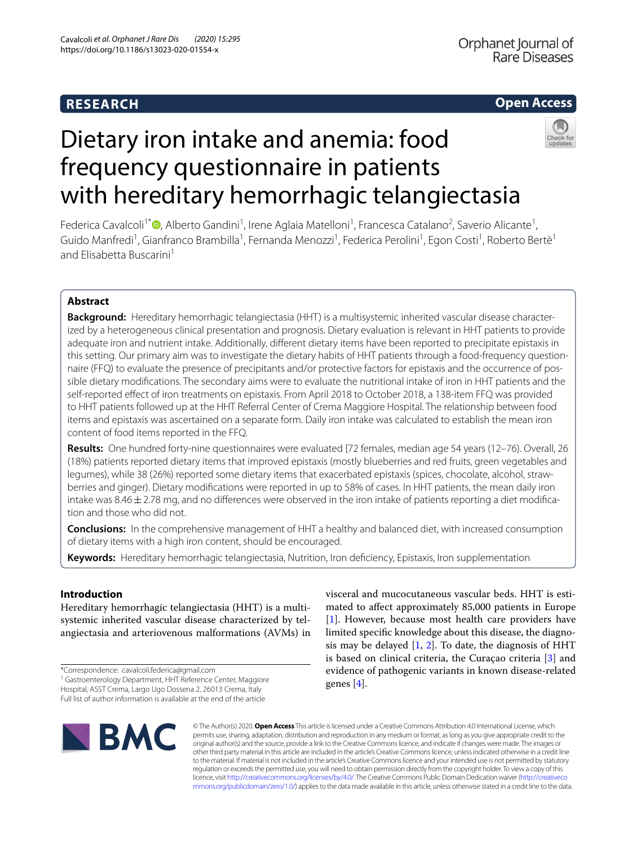## **RESEARCH**

## **Open Access**

# Dietary iron intake and anemia: food frequency questionnaire in patients with hereditary hemorrhagic telangiectasia

Federica Cavalcoli<sup>1[\\*](http://orcid.org/0000-0002-7745-7573)</sup><sup>®</sup>, Alberto Gandini<sup>1</sup>, Irene Aglaia Matelloni<sup>1</sup>, Francesca Catalano<sup>2</sup>, Saverio Alicante<sup>1</sup>, Guido Manfredi<sup>1</sup>, Gianfranco Brambilla<sup>1</sup>, Fernanda Menozzi<sup>1</sup>, Federica Perolini<sup>1</sup>, Egon Costi<sup>1</sup>, Roberto Bertè<sup>1</sup> and Elisabetta Buscarini<sup>1</sup>

## **Abstract**

**Background:** Hereditary hemorrhagic telangiectasia (HHT) is a multisystemic inherited vascular disease characterized by a heterogeneous clinical presentation and prognosis. Dietary evaluation is relevant in HHT patients to provide adequate iron and nutrient intake. Additionally, diferent dietary items have been reported to precipitate epistaxis in this setting. Our primary aim was to investigate the dietary habits of HHT patients through a food-frequency questionnaire (FFQ) to evaluate the presence of precipitants and/or protective factors for epistaxis and the occurrence of possible dietary modifcations. The secondary aims were to evaluate the nutritional intake of iron in HHT patients and the self-reported efect of iron treatments on epistaxis. From April 2018 to October 2018, a 138-item FFQ was provided to HHT patients followed up at the HHT Referral Center of Crema Maggiore Hospital. The relationship between food items and epistaxis was ascertained on a separate form. Daily iron intake was calculated to establish the mean iron content of food items reported in the FFQ.

**Results:** One hundred forty-nine questionnaires were evaluated [72 females, median age 54 years (12–76). Overall, 26 (18%) patients reported dietary items that improved epistaxis (mostly blueberries and red fruits, green vegetables and legumes), while 38 (26%) reported some dietary items that exacerbated epistaxis (spices, chocolate, alcohol, strawberries and ginger). Dietary modifcations were reported in up to 58% of cases. In HHT patients, the mean daily iron intake was  $8.46 \pm 2.78$  mg, and no differences were observed in the iron intake of patients reporting a diet modification and those who did not.

**Conclusions:** In the comprehensive management of HHT a healthy and balanced diet, with increased consumption of dietary items with a high iron content, should be encouraged.

**Keywords:** Hereditary hemorrhagic telangiectasia, Nutrition, Iron defciency, Epistaxis, Iron supplementation

## **Introduction**

Hereditary hemorrhagic telangiectasia (HHT) is a multisystemic inherited vascular disease characterized by telangiectasia and arteriovenous malformations (AVMs) in

\*Correspondence: cavalcoli.federica@gmail.com

<sup>1</sup> Gastroenterology Department, HHT Reference Center, Maggiore Hospital, ASST Crema, Largo Ugo Dossena 2, 26013 Crema, Italy Full list of author information is available at the end of the article

**BMC** 

visceral and mucocutaneous vascular beds. HHT is estimated to afect approximately 85,000 patients in Europe [[1\]](#page-5-0). However, because most health care providers have limited specifc knowledge about this disease, the diagnosis may be delayed  $[1, 2]$  $[1, 2]$  $[1, 2]$  $[1, 2]$ . To date, the diagnosis of HHT is based on clinical criteria, the Curaçao criteria [\[3\]](#page-5-2) and evidence of pathogenic variants in known disease-related genes [\[4](#page-5-3)].

© The Author(s) 2020. **Open Access** This article is licensed under a Creative Commons Attribution 4.0 International License, which permits use, sharing, adaptation, distribution and reproduction in any medium or format, as long as you give appropriate credit to the original author(s) and the source, provide a link to the Creative Commons licence, and indicate if changes were made. The images or other third party material in this article are included in the article's Creative Commons licence, unless indicated otherwise in a credit line to the material. If material is not included in the article's Creative Commons licence and your intended use is not permitted by statutory regulation or exceeds the permitted use, you will need to obtain permission directly from the copyright holder. To view a copy of this licence, visit [http://creativecommons.org/licenses/by/4.0/.](http://creativecommons.org/licenses/by/4.0/) The Creative Commons Public Domain Dedication waiver ([http://creativeco](http://creativecommons.org/publicdomain/zero/1.0/) [mmons.org/publicdomain/zero/1.0/](http://creativecommons.org/publicdomain/zero/1.0/)) applies to the data made available in this article, unless otherwise stated in a credit line to the data.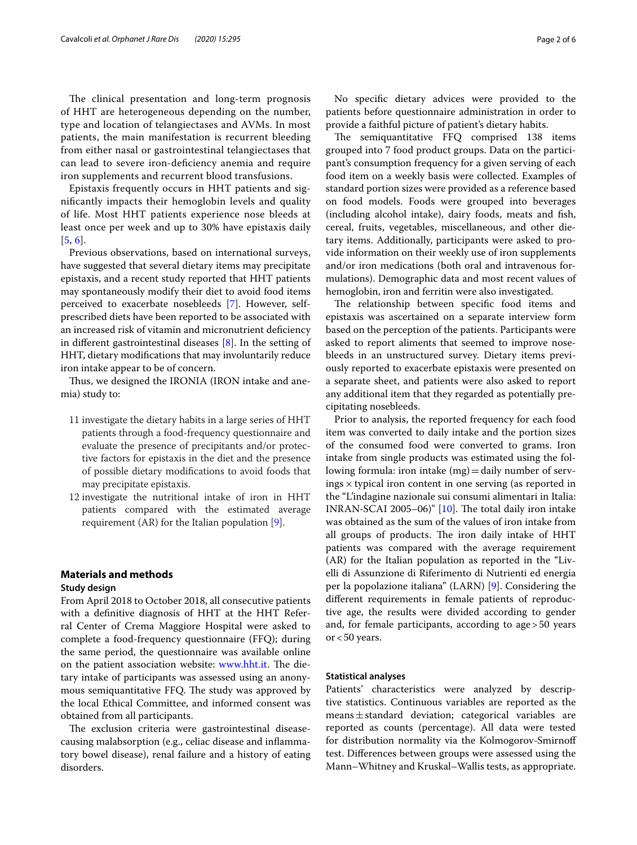The clinical presentation and long-term prognosis of HHT are heterogeneous depending on the number, type and location of telangiectases and AVMs. In most patients, the main manifestation is recurrent bleeding from either nasal or gastrointestinal telangiectases that can lead to severe iron-defciency anemia and require iron supplements and recurrent blood transfusions.

Epistaxis frequently occurs in HHT patients and signifcantly impacts their hemoglobin levels and quality of life. Most HHT patients experience nose bleeds at least once per week and up to 30% have epistaxis daily [[5](#page-5-4), [6\]](#page-5-5).

Previous observations, based on international surveys, have suggested that several dietary items may precipitate epistaxis, and a recent study reported that HHT patients may spontaneously modify their diet to avoid food items perceived to exacerbate nosebleeds [[7\]](#page-5-6). However, selfprescribed diets have been reported to be associated with an increased risk of vitamin and micronutrient defciency in diferent gastrointestinal diseases [[8\]](#page-5-7). In the setting of HHT, dietary modifcations that may involuntarily reduce iron intake appear to be of concern.

Thus, we designed the IRONIA (IRON intake and anemia) study to:

- 11 investigate the dietary habits in a large series of HHT patients through a food-frequency questionnaire and evaluate the presence of precipitants and/or protective factors for epistaxis in the diet and the presence of possible dietary modifcations to avoid foods that may precipitate epistaxis.
- 12 investigate the nutritional intake of iron in HHT patients compared with the estimated average requirement (AR) for the Italian population  $[9]$  $[9]$ .

## **Materials and methods**

#### **Study design**

From April 2018 to October 2018, all consecutive patients with a defnitive diagnosis of HHT at the HHT Referral Center of Crema Maggiore Hospital were asked to complete a food-frequency questionnaire (FFQ); during the same period, the questionnaire was available online on the patient association website: [www.hht.it](http://www.hht.it). The dietary intake of participants was assessed using an anonymous semiquantitative FFQ. The study was approved by the local Ethical Committee, and informed consent was obtained from all participants.

The exclusion criteria were gastrointestinal diseasecausing malabsorption (e.g., celiac disease and infammatory bowel disease), renal failure and a history of eating disorders.

No specifc dietary advices were provided to the patients before questionnaire administration in order to provide a faithful picture of patient's dietary habits.

The semiquantitative FFQ comprised 138 items grouped into 7 food product groups. Data on the participant's consumption frequency for a given serving of each food item on a weekly basis were collected. Examples of standard portion sizes were provided as a reference based on food models. Foods were grouped into beverages (including alcohol intake), dairy foods, meats and fsh, cereal, fruits, vegetables, miscellaneous, and other dietary items. Additionally, participants were asked to provide information on their weekly use of iron supplements and/or iron medications (both oral and intravenous formulations). Demographic data and most recent values of hemoglobin, iron and ferritin were also investigated.

The relationship between specific food items and epistaxis was ascertained on a separate interview form based on the perception of the patients. Participants were asked to report aliments that seemed to improve nosebleeds in an unstructured survey. Dietary items previously reported to exacerbate epistaxis were presented on a separate sheet, and patients were also asked to report any additional item that they regarded as potentially precipitating nosebleeds.

Prior to analysis, the reported frequency for each food item was converted to daily intake and the portion sizes of the consumed food were converted to grams. Iron intake from single products was estimated using the following formula: iron intake (mg) = daily number of servings  $\times$  typical iron content in one serving (as reported in the "L'indagine nazionale sui consumi alimentari in Italia: INRAN-SCAI 2005–06)"  $[10]$ . The total daily iron intake was obtained as the sum of the values of iron intake from all groups of products. The iron daily intake of HHT patients was compared with the average requirement (AR) for the Italian population as reported in the "Livelli di Assunzione di Riferimento di Nutrienti ed energia per la popolazione italiana" (LARN) [\[9](#page-5-8)]. Considering the diferent requirements in female patients of reproductive age, the results were divided according to gender and, for female participants, according to age>50 years or<50 years.

## **Statistical analyses**

Patients' characteristics were analyzed by descriptive statistics. Continuous variables are reported as the means $\pm$ standard deviation; categorical variables are reported as counts (percentage). All data were tested for distribution normality via the Kolmogorov-Smirnof test. Diferences between groups were assessed using the Mann–Whitney and Kruskal–Wallis tests, as appropriate.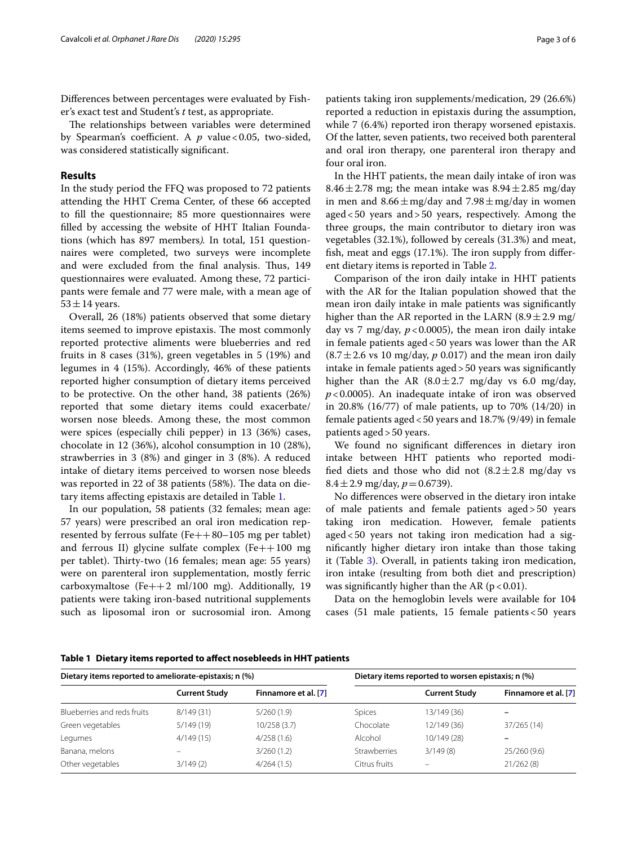Diferences between percentages were evaluated by Fisher's exact test and Student's *t* test, as appropriate.

The relationships between variables were determined by Spearman's coefficient. A  $p$  value < 0.05, two-sided, was considered statistically signifcant.

## **Results**

In the study period the FFQ was proposed to 72 patients attending the HHT Crema Center, of these 66 accepted to fll the questionnaire; 85 more questionnaires were flled by accessing the website of HHT Italian Foundations (which has 897 members*).* In total, 151 questionnaires were completed, two surveys were incomplete and were excluded from the final analysis. Thus, 149 questionnaires were evaluated. Among these, 72 participants were female and 77 were male, with a mean age of  $53 \pm 14$  years.

Overall, 26 (18%) patients observed that some dietary items seemed to improve epistaxis. The most commonly reported protective aliments were blueberries and red fruits in 8 cases (31%), green vegetables in 5 (19%) and legumes in 4 (15%). Accordingly, 46% of these patients reported higher consumption of dietary items perceived to be protective. On the other hand, 38 patients (26%) reported that some dietary items could exacerbate/ worsen nose bleeds. Among these, the most common were spices (especially chili pepper) in 13 (36%) cases, chocolate in 12 (36%), alcohol consumption in 10 (28%), strawberries in 3 (8%) and ginger in 3 (8%). A reduced intake of dietary items perceived to worsen nose bleeds was reported in 22 of 38 patients (58%). The data on dietary items afecting epistaxis are detailed in Table [1.](#page-2-0)

In our population, 58 patients (32 females; mean age: 57 years) were prescribed an oral iron medication represented by ferrous sulfate  $(Fe++80-105$  mg per tablet) and ferrous II) glycine sulfate complex  $(Fe++100$  mg per tablet). Thirty-two (16 females; mean age: 55 years) were on parenteral iron supplementation, mostly ferric carboxymaltose (Fe $++2$  ml/100 mg). Additionally, 19 patients were taking iron-based nutritional supplements such as liposomal iron or sucrosomial iron. Among patients taking iron supplements/medication, 29 (26.6%) reported a reduction in epistaxis during the assumption, while 7 (6.4%) reported iron therapy worsened epistaxis. Of the latter, seven patients, two received both parenteral and oral iron therapy, one parenteral iron therapy and four oral iron.

In the HHT patients, the mean daily intake of iron was 8.46 $\pm$ 2.78 mg; the mean intake was 8.94 $\pm$ 2.85 mg/day in men and  $8.66 \pm \text{mg/day}$  and  $7.98 \pm \text{mg/day}$  in women aged<50 years and>50 years, respectively. Among the three groups, the main contributor to dietary iron was vegetables (32.1%), followed by cereals (31.3%) and meat, fish, meat and eggs  $(17.1\%)$ . The iron supply from different dietary items is reported in Table [2](#page-3-0).

Comparison of the iron daily intake in HHT patients with the AR for the Italian population showed that the mean iron daily intake in male patients was signifcantly higher than the AR reported in the LARN  $(8.9 \pm 2.9 \text{ mg})$ day vs 7 mg/day,  $p < 0.0005$ ), the mean iron daily intake in female patients aged  $<$  50 years was lower than the AR  $(8.7 \pm 2.6 \text{ vs } 10 \text{ mg/day}, p \text{ 0.017})$  and the mean iron daily intake in female patients aged>50 years was signifcantly higher than the AR  $(8.0 \pm 2.7 \text{ mg/day}$  vs 6.0 mg/day, *p*<0.0005). An inadequate intake of iron was observed in 20.8% (16/77) of male patients, up to 70% (14/20) in female patients aged<50 years and 18.7% (9/49) in female patients aged>50 years.

We found no signifcant diferences in dietary iron intake between HHT patients who reported modified diets and those who did not  $(8.2 \pm 2.8 \text{ mg/day vs}$  $8.4 \pm 2.9$  mg/day,  $p = 0.6739$ ).

No diferences were observed in the dietary iron intake of male patients and female patients aged>50 years taking iron medication. However, female patients aged<50 years not taking iron medication had a signifcantly higher dietary iron intake than those taking it (Table [3](#page-3-1)). Overall, in patients taking iron medication, iron intake (resulting from both diet and prescription) was significantly higher than the AR ( $p < 0.01$ ).

Data on the hemoglobin levels were available for 104 cases (51 male patients, 15 female patients<50 years

| Dietary items reported to ameliorate-epistaxis; n (%) |                      |                      | Dietary items reported to worsen epistaxis; n (%) |                      |                          |
|-------------------------------------------------------|----------------------|----------------------|---------------------------------------------------|----------------------|--------------------------|
|                                                       | <b>Current Study</b> | Finnamore et al. [7] |                                                   | <b>Current Study</b> | Finnamore et al. [7]     |
| Blueberries and reds fruits                           | 8/149(31)            | 5/260(1.9)           | Spices                                            | 13/149 (36)          | $\overline{\phantom{0}}$ |
| Green vegetables                                      | 5/149(19)            | 10/258(3.7)          | Chocolate                                         | 12/149 (36)          | 37/265 (14)              |
| Legumes                                               | 4/149(15)            | 4/258(1.6)           | Alcohol                                           | 10/149 (28)          | $\overline{\phantom{0}}$ |
| Banana, melons                                        |                      | 3/260(1.2)           | <b>Strawberries</b>                               | 3/149(8)             | 25/260 (9.6)             |
| Other vegetables                                      | 3/149(2)             | 4/264(1.5)           | Citrus fruits                                     |                      | 21/262(8)                |

<span id="page-2-0"></span>**Table 1 Dietary items reported to afect nosebleeds in HHT patients**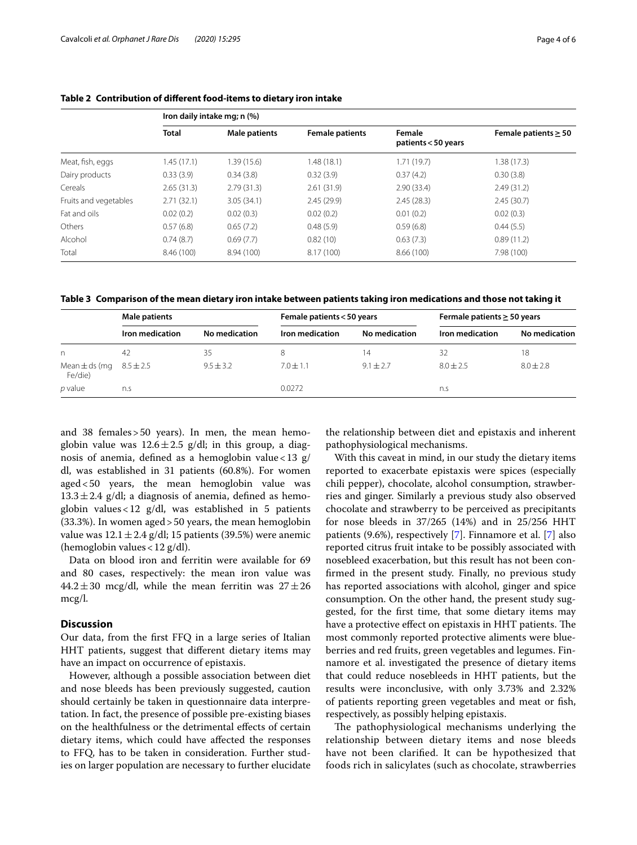|                       | Iron daily intake mg; n (%) |               |                        |                               |                           |  |  |
|-----------------------|-----------------------------|---------------|------------------------|-------------------------------|---------------------------|--|--|
|                       | <b>Total</b>                | Male patients | <b>Female patients</b> | Female<br>patients < 50 years | Female patients $\geq$ 50 |  |  |
| Meat, fish, eggs      | 1.45 (17.1)                 | 1.39 (15.6)   | 1.48 (18.1)            | 1.71(19.7)                    | 1.38(17.3)                |  |  |
| Dairy products        | 0.33(3.9)                   | 0.34(3.8)     | 0.32(3.9)              | 0.37(4.2)                     | 0.30(3.8)                 |  |  |
| Cereals               | 2.65(31.3)                  | 2.79(31.3)    | 2.61(31.9)             | 2.90(33.4)                    | 2.49(31.2)                |  |  |
| Fruits and vegetables | 2.71(32.1)                  | 3.05(34.1)    | 2.45(29.9)             | 2.45(28.3)                    | 2.45(30.7)                |  |  |
| Fat and oils          | 0.02(0.2)                   | 0.02(0.3)     | 0.02(0.2)              | 0.01(0.2)                     | 0.02(0.3)                 |  |  |
| Others                | 0.57(6.8)                   | 0.65(7.2)     | 0.48(5.9)              | 0.59(6.8)                     | 0.44(5.5)                 |  |  |
| Alcohol               | 0.74(8.7)                   | 0.69(7.7)     | 0.82(10)               | 0.63(7.3)                     | 0.89(11.2)                |  |  |
| Total                 | 8.46 (100)                  | 8.94 (100)    | 8.17 (100)             | 8.66 (100)                    | 7.98 (100)                |  |  |

<span id="page-3-0"></span>**Table 2 Contribution of diferent food-items to dietary iron intake**

<span id="page-3-1"></span>**Table 3 Comparison of the mean dietary iron intake between patients taking iron medications and those not taking it**

|                              | Male patients   |               | Female patients < 50 years |               | Fermale patients $\geq$ 50 years |               |
|------------------------------|-----------------|---------------|----------------------------|---------------|----------------------------------|---------------|
|                              | Iron medication | No medication | Iron medication            | No medication | Iron medication                  | No medication |
| n                            | 42              | 35            | 8                          | 14            | 32                               | 18            |
| Mean $\pm$ ds (mg<br>Fe/die) | $8.5 \pm 2.5$   | $95 + 32$     | $70 + 11$                  | $91 + 27$     | $8.0 + 2.5$                      | $8.0 + 2.8$   |
| p value                      | n.s             |               | 0.0272                     |               | n.s                              |               |

and 38 females>50 years). In men, the mean hemoglobin value was  $12.6 \pm 2.5$  g/dl; in this group, a diagnosis of anemia, defined as a hemoglobin value < 13  $g$ / dl, was established in 31 patients (60.8%). For women aged<50 years, the mean hemoglobin value was  $13.3 \pm 2.4$  g/dl; a diagnosis of anemia, defined as hemoglobin values < 12  $g/dl$ , was established in 5 patients (33.3%). In women aged>50 years, the mean hemoglobin value was  $12.1 \pm 2.4$  g/dl; 15 patients (39.5%) were anemic (hemoglobin values<12 g/dl).

Data on blood iron and ferritin were available for 69 and 80 cases, respectively: the mean iron value was 44.2 $\pm$ 30 mcg/dl, while the mean ferritin was 27 $\pm$ 26 mcg/l.

## **Discussion**

Our data, from the frst FFQ in a large series of Italian HHT patients, suggest that diferent dietary items may have an impact on occurrence of epistaxis.

However, although a possible association between diet and nose bleeds has been previously suggested, caution should certainly be taken in questionnaire data interpretation. In fact, the presence of possible pre-existing biases on the healthfulness or the detrimental efects of certain dietary items, which could have afected the responses to FFQ, has to be taken in consideration. Further studies on larger population are necessary to further elucidate the relationship between diet and epistaxis and inherent pathophysiological mechanisms.

With this caveat in mind, in our study the dietary items reported to exacerbate epistaxis were spices (especially chili pepper), chocolate, alcohol consumption, strawberries and ginger. Similarly a previous study also observed chocolate and strawberry to be perceived as precipitants for nose bleeds in 37/265 (14%) and in 25/256 HHT patients (9.6%), respectively [\[7\]](#page-5-6). Finnamore et al. [[7](#page-5-6)] also reported citrus fruit intake to be possibly associated with nosebleed exacerbation, but this result has not been confrmed in the present study. Finally, no previous study has reported associations with alcohol, ginger and spice consumption. On the other hand, the present study suggested, for the frst time, that some dietary items may have a protective effect on epistaxis in HHT patients. The most commonly reported protective aliments were blueberries and red fruits, green vegetables and legumes. Finnamore et al. investigated the presence of dietary items that could reduce nosebleeds in HHT patients, but the results were inconclusive, with only 3.73% and 2.32% of patients reporting green vegetables and meat or fsh, respectively, as possibly helping epistaxis.

The pathophysiological mechanisms underlying the relationship between dietary items and nose bleeds have not been clarifed. It can be hypothesized that foods rich in salicylates (such as chocolate, strawberries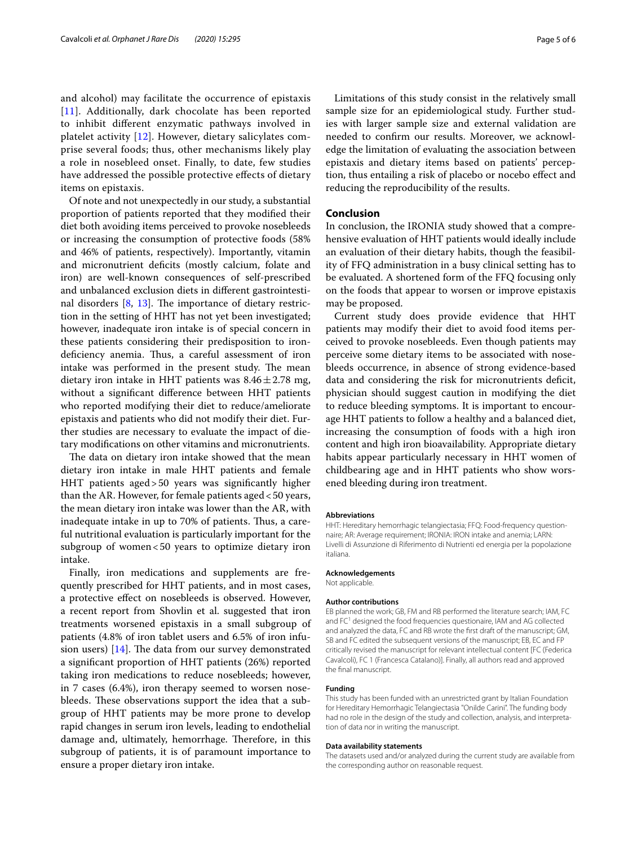and alcohol) may facilitate the occurrence of epistaxis [[11](#page-5-10)]. Additionally, dark chocolate has been reported to inhibit diferent enzymatic pathways involved in platelet activity [[12\]](#page-5-11). However, dietary salicylates comprise several foods; thus, other mechanisms likely play a role in nosebleed onset. Finally, to date, few studies have addressed the possible protective efects of dietary items on epistaxis.

Of note and not unexpectedly in our study, a substantial proportion of patients reported that they modifed their diet both avoiding items perceived to provoke nosebleeds or increasing the consumption of protective foods (58% and 46% of patients, respectively). Importantly, vitamin and micronutrient deficits (mostly calcium, folate and iron) are well-known consequences of self-prescribed and unbalanced exclusion diets in diferent gastrointestinal disorders  $[8, 13]$  $[8, 13]$  $[8, 13]$  $[8, 13]$  $[8, 13]$ . The importance of dietary restriction in the setting of HHT has not yet been investigated; however, inadequate iron intake is of special concern in these patients considering their predisposition to irondeficiency anemia. Thus, a careful assessment of iron intake was performed in the present study. The mean dietary iron intake in HHT patients was  $8.46 \pm 2.78$  mg, without a signifcant diference between HHT patients who reported modifying their diet to reduce/ameliorate epistaxis and patients who did not modify their diet. Further studies are necessary to evaluate the impact of dietary modifcations on other vitamins and micronutrients.

The data on dietary iron intake showed that the mean dietary iron intake in male HHT patients and female HHT patients aged>50 years was signifcantly higher than the AR. However, for female patients aged<50 years, the mean dietary iron intake was lower than the AR, with inadequate intake in up to 70% of patients. Thus, a careful nutritional evaluation is particularly important for the subgroup of women<50 years to optimize dietary iron intake.

Finally, iron medications and supplements are frequently prescribed for HHT patients, and in most cases, a protective efect on nosebleeds is observed. However, a recent report from Shovlin et al. suggested that iron treatments worsened epistaxis in a small subgroup of patients (4.8% of iron tablet users and 6.5% of iron infusion users)  $[14]$ . The data from our survey demonstrated a signifcant proportion of HHT patients (26%) reported taking iron medications to reduce nosebleeds; however, in 7 cases (6.4%), iron therapy seemed to worsen nosebleeds. These observations support the idea that a subgroup of HHT patients may be more prone to develop rapid changes in serum iron levels, leading to endothelial damage and, ultimately, hemorrhage. Therefore, in this subgroup of patients, it is of paramount importance to ensure a proper dietary iron intake.

Limitations of this study consist in the relatively small sample size for an epidemiological study. Further studies with larger sample size and external validation are needed to confrm our results. Moreover, we acknowledge the limitation of evaluating the association between epistaxis and dietary items based on patients' perception, thus entailing a risk of placebo or nocebo efect and reducing the reproducibility of the results.

## **Conclusion**

In conclusion, the IRONIA study showed that a comprehensive evaluation of HHT patients would ideally include an evaluation of their dietary habits, though the feasibility of FFQ administration in a busy clinical setting has to be evaluated. A shortened form of the FFQ focusing only on the foods that appear to worsen or improve epistaxis may be proposed.

Current study does provide evidence that HHT patients may modify their diet to avoid food items perceived to provoke nosebleeds. Even though patients may perceive some dietary items to be associated with nosebleeds occurrence, in absence of strong evidence-based data and considering the risk for micronutrients deficit, physician should suggest caution in modifying the diet to reduce bleeding symptoms. It is important to encourage HHT patients to follow a healthy and a balanced diet, increasing the consumption of foods with a high iron content and high iron bioavailability. Appropriate dietary habits appear particularly necessary in HHT women of childbearing age and in HHT patients who show worsened bleeding during iron treatment.

#### **Abbreviations**

HHT: Hereditary hemorrhagic telangiectasia; FFQ: Food-frequency questionnaire; AR: Average requirement; IRONIA: IRON intake and anemia; LARN: Livelli di Assunzione di Riferimento di Nutrienti ed energia per la popolazione italiana.

#### **Acknowledgements**

Not applicable.

#### **Author contributions**

EB planned the work; GB, FM and RB performed the literature search; IAM, FC and FC<sup>1</sup> designed the food frequencies questionaire, IAM and AG collected and analyzed the data, FC and RB wrote the frst draft of the manuscript; GM, SB and FC edited the subsequent versions of the manuscript; EB, EC and FP critically revised the manuscript for relevant intellectual content [FC (Federica Cavalcoli), FC 1 (Francesca Catalano)]. Finally, all authors read and approved the fnal manuscript.

#### **Funding**

This study has been funded with an unrestricted grant by Italian Foundation for Hereditary Hemorrhagic Telangiectasia "Onilde Carini". The funding body had no role in the design of the study and collection, analysis, and interpretation of data nor in writing the manuscript.

#### **Data availability statements**

The datasets used and/or analyzed during the current study are available from the corresponding author on reasonable request.